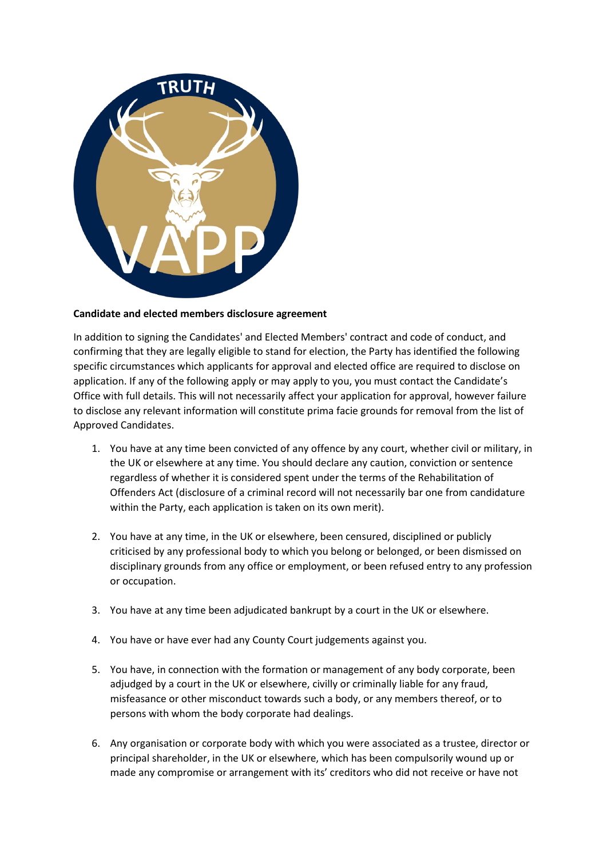

## **Candidate and elected members disclosure agreement**

In addition to signing the Candidates' and Elected Members' contract and code of conduct, and confirming that they are legally eligible to stand for election, the Party has identified the following specific circumstances which applicants for approval and elected office are required to disclose on application. If any of the following apply or may apply to you, you must contact the Candidate's Office with full details. This will not necessarily affect your application for approval, however failure to disclose any relevant information will constitute prima facie grounds for removal from the list of Approved Candidates.

- 1. You have at any time been convicted of any offence by any court, whether civil or military, in the UK or elsewhere at any time. You should declare any caution, conviction or sentence regardless of whether it is considered spent under the terms of the Rehabilitation of Offenders Act (disclosure of a criminal record will not necessarily bar one from candidature within the Party, each application is taken on its own merit).
- 2. You have at any time, in the UK or elsewhere, been censured, disciplined or publicly criticised by any professional body to which you belong or belonged, or been dismissed on disciplinary grounds from any office or employment, or been refused entry to any profession or occupation.
- 3. You have at any time been adjudicated bankrupt by a court in the UK or elsewhere.
- 4. You have or have ever had any County Court judgements against you.
- 5. You have, in connection with the formation or management of any body corporate, been adjudged by a court in the UK or elsewhere, civilly or criminally liable for any fraud, misfeasance or other misconduct towards such a body, or any members thereof, or to persons with whom the body corporate had dealings.
- 6. Any organisation or corporate body with which you were associated as a trustee, director or principal shareholder, in the UK or elsewhere, which has been compulsorily wound up or made any compromise or arrangement with its' creditors who did not receive or have not